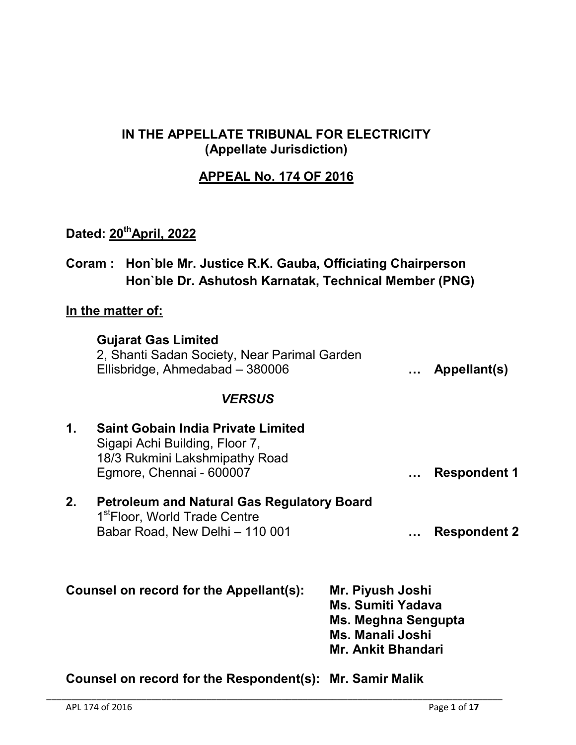### IN THE APPELLATE TRIBUNAL FOR ELECTRICITY (Appellate Jurisdiction)

# APPEAL No. 174 OF 2016

# Dated: 20<sup>th</sup>April, 2022

| Coram: Hon`ble Mr. Justice R.K. Gauba, Officiating Chairperson |
|----------------------------------------------------------------|
| Hon'ble Dr. Ashutosh Karnatak, Technical Member (PNG)          |

### In the matter of:

| <b>Gujarat Gas Limited</b>                   |              |
|----------------------------------------------|--------------|
| 2, Shanti Sadan Society, Near Parimal Garden |              |
| Ellisbridge, Ahmedabad - 380006              | Appellant(s) |

### *VERSUS*

| $\mathbf 1$ .                           | <b>Saint Gobain India Private Limited</b><br>Sigapi Achi Building, Floor 7,<br>18/3 Rukmini Lakshmipathy Road<br>Egmore, Chennai - 600007 |                                                                                                                             | <b>Respondent 1</b> |
|-----------------------------------------|-------------------------------------------------------------------------------------------------------------------------------------------|-----------------------------------------------------------------------------------------------------------------------------|---------------------|
| 2.                                      | <b>Petroleum and Natural Gas Regulatory Board</b><br>1 <sup>st</sup> Floor, World Trade Centre<br>Babar Road, New Delhi - 110 001         |                                                                                                                             | <b>Respondent 2</b> |
| Counsel on record for the Appellant(s): |                                                                                                                                           | Mr. Piyush Joshi<br><b>Ms. Sumiti Yadava</b><br>Ms. Meghna Sengupta<br><b>Ms. Manali Joshi</b><br><b>Mr. Ankit Bhandari</b> |                     |

Counsel on record for the Respondent(s): Mr. Samir Malik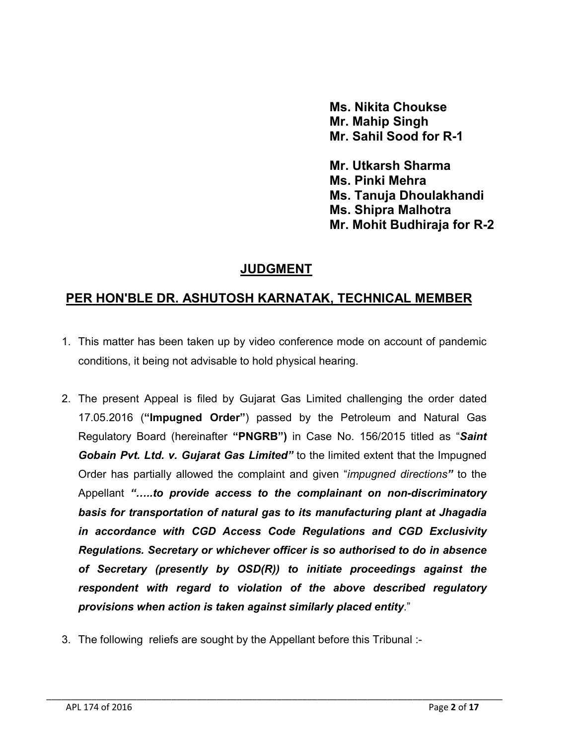Ms. Nikita Choukse Mr. Mahip Singh Mr. Sahil Sood for R-1

Mr. Utkarsh Sharma Ms. Pinki Mehra Ms. Tanuja Dhoulakhandi Ms. Shipra Malhotra Mr. Mohit Budhiraja for R-2

### JUDGMENT

# PER HON'BLE DR. ASHUTOSH KARNATAK, TECHNICAL MEMBER

- 1. This matter has been taken up by video conference mode on account of pandemic conditions, it being not advisable to hold physical hearing.
- 2. The present Appeal is filed by Gujarat Gas Limited challenging the order dated 17.05.2016 ("Impugned Order") passed by the Petroleum and Natural Gas Regulatory Board (hereinafter "PNGRB") in Case No. 156/2015 titled as "*Saint Gobain Pvt. Ltd. v. Gujarat Gas Limited"* to the limited extent that the Impugned Order has partially allowed the complaint and given "*impugned directions"* to the Appellant *"…..to provide access to the complainant on non-discriminatory basis for transportation of natural gas to its manufacturing plant at Jhagadia in accordance with CGD Access Code Regulations and CGD Exclusivity Regulations. Secretary or whichever officer is so authorised to do in absence of Secretary (presently by OSD(R)) to initiate proceedings against the respondent with regard to violation of the above described regulatory provisions when action is taken against similarly placed entity*."

\_\_\_\_\_\_\_\_\_\_\_\_\_\_\_\_\_\_\_\_\_\_\_\_\_\_\_\_\_\_\_\_\_\_\_\_\_\_\_\_\_\_\_\_\_\_\_\_\_\_\_\_\_\_\_\_\_\_\_\_\_\_\_\_\_\_\_\_\_\_\_\_\_\_\_\_\_\_\_\_\_\_\_\_\_\_\_\_\_\_\_

3. The following reliefs are sought by the Appellant before this Tribunal :-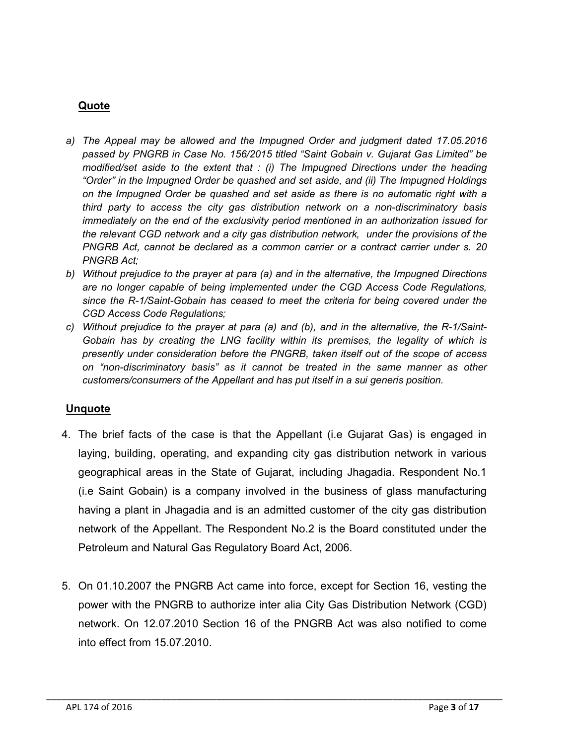#### Quote

- *a) The Appeal may be allowed and the Impugned Order and judgment dated 17.05.2016 passed by PNGRB in Case No. 156/2015 titled "Saint Gobain v. Gujarat Gas Limited" be modified/set aside to the extent that : (i) The Impugned Directions under the heading "Order" in the Impugned Order be quashed and set aside, and (ii) The Impugned Holdings on the Impugned Order be quashed and set aside as there is no automatic right with a third party to access the city gas distribution network on a non-discriminatory basis immediately on the end of the exclusivity period mentioned in an authorization issued for the relevant CGD network and a city gas distribution network, under the provisions of the PNGRB Act, cannot be declared as a common carrier or a contract carrier under s. 20 PNGRB Act;*
- *b) Without prejudice to the prayer at para (a) and in the alternative, the Impugned Directions are no longer capable of being implemented under the CGD Access Code Regulations, since the R-1/Saint-Gobain has ceased to meet the criteria for being covered under the CGD Access Code Regulations;*
- *c) Without prejudice to the prayer at para (a) and (b), and in the alternative, the R-1/Saint-Gobain has by creating the LNG facility within its premises, the legality of which is presently under consideration before the PNGRB, taken itself out of the scope of access on "non-discriminatory basis" as it cannot be treated in the same manner as other customers/consumers of the Appellant and has put itself in a sui generis position.*

#### **Unquote**

- 4. The brief facts of the case is that the Appellant (i.e Gujarat Gas) is engaged in laying, building, operating, and expanding city gas distribution network in various geographical areas in the State of Gujarat, including Jhagadia. Respondent No.1 (i.e Saint Gobain) is a company involved in the business of glass manufacturing having a plant in Jhagadia and is an admitted customer of the city gas distribution network of the Appellant. The Respondent No.2 is the Board constituted under the Petroleum and Natural Gas Regulatory Board Act, 2006.
- 5. On 01.10.2007 the PNGRB Act came into force, except for Section 16, vesting the power with the PNGRB to authorize inter alia City Gas Distribution Network (CGD) network. On 12.07.2010 Section 16 of the PNGRB Act was also notified to come into effect from 15.07.2010.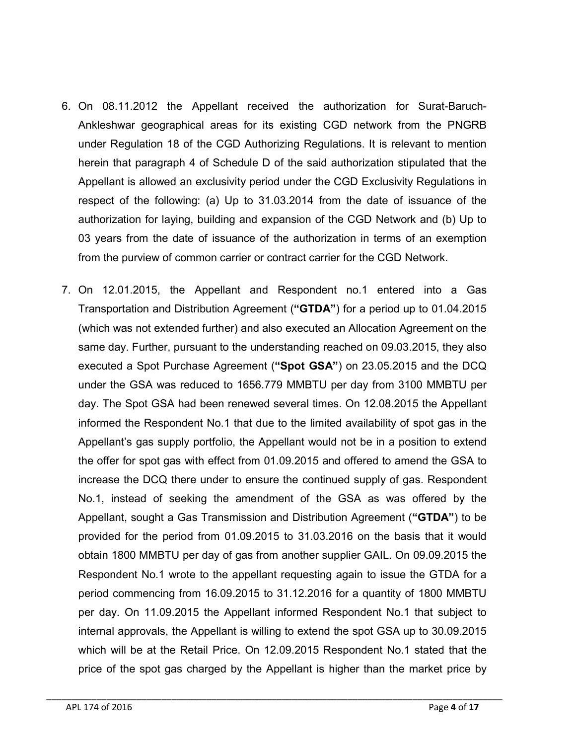- 6. On 08.11.2012 the Appellant received the authorization for Surat-Baruch-Ankleshwar geographical areas for its existing CGD network from the PNGRB under Regulation 18 of the CGD Authorizing Regulations. It is relevant to mention herein that paragraph 4 of Schedule D of the said authorization stipulated that the Appellant is allowed an exclusivity period under the CGD Exclusivity Regulations in respect of the following: (a) Up to 31.03.2014 from the date of issuance of the authorization for laying, building and expansion of the CGD Network and (b) Up to 03 years from the date of issuance of the authorization in terms of an exemption from the purview of common carrier or contract carrier for the CGD Network.
- 7. On 12.01.2015, the Appellant and Respondent no.1 entered into a Gas Transportation and Distribution Agreement ("GTDA") for a period up to 01.04.2015 (which was not extended further) and also executed an Allocation Agreement on the same day. Further, pursuant to the understanding reached on 09.03.2015, they also executed a Spot Purchase Agreement ("Spot GSA") on 23.05.2015 and the DCQ under the GSA was reduced to 1656.779 MMBTU per day from 3100 MMBTU per day. The Spot GSA had been renewed several times. On 12.08.2015 the Appellant informed the Respondent No.1 that due to the limited availability of spot gas in the Appellant's gas supply portfolio, the Appellant would not be in a position to extend the offer for spot gas with effect from 01.09.2015 and offered to amend the GSA to increase the DCQ there under to ensure the continued supply of gas. Respondent No.1, instead of seeking the amendment of the GSA as was offered by the Appellant, sought a Gas Transmission and Distribution Agreement ("GTDA") to be provided for the period from 01.09.2015 to 31.03.2016 on the basis that it would obtain 1800 MMBTU per day of gas from another supplier GAIL. On 09.09.2015 the Respondent No.1 wrote to the appellant requesting again to issue the GTDA for a period commencing from 16.09.2015 to 31.12.2016 for a quantity of 1800 MMBTU per day. On 11.09.2015 the Appellant informed Respondent No.1 that subject to internal approvals, the Appellant is willing to extend the spot GSA up to 30.09.2015 which will be at the Retail Price. On 12.09.2015 Respondent No.1 stated that the price of the spot gas charged by the Appellant is higher than the market price by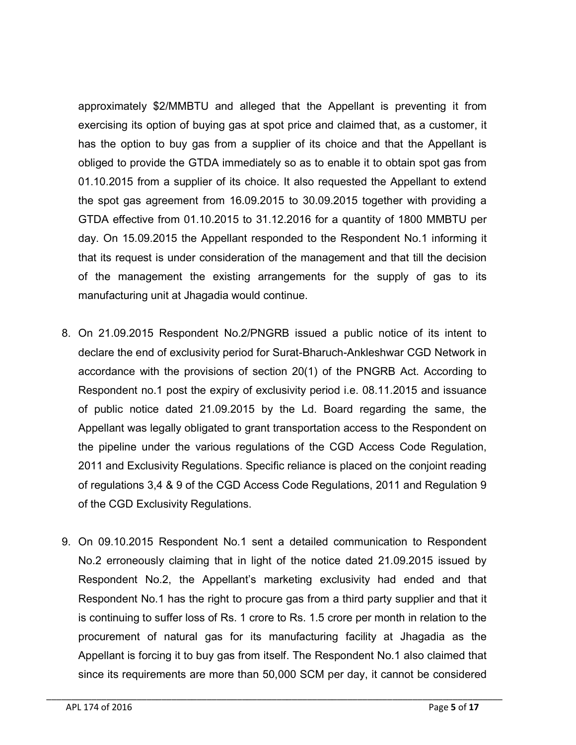approximately \$2/MMBTU and alleged that the Appellant is preventing it from exercising its option of buying gas at spot price and claimed that, as a customer, it has the option to buy gas from a supplier of its choice and that the Appellant is obliged to provide the GTDA immediately so as to enable it to obtain spot gas from 01.10.2015 from a supplier of its choice. It also requested the Appellant to extend the spot gas agreement from 16.09.2015 to 30.09.2015 together with providing a GTDA effective from 01.10.2015 to 31.12.2016 for a quantity of 1800 MMBTU per day. On 15.09.2015 the Appellant responded to the Respondent No.1 informing it that its request is under consideration of the management and that till the decision of the management the existing arrangements for the supply of gas to its manufacturing unit at Jhagadia would continue.

- 8. On 21.09.2015 Respondent No.2/PNGRB issued a public notice of its intent to declare the end of exclusivity period for Surat-Bharuch-Ankleshwar CGD Network in accordance with the provisions of section 20(1) of the PNGRB Act. According to Respondent no.1 post the expiry of exclusivity period i.e. 08.11.2015 and issuance of public notice dated 21.09.2015 by the Ld. Board regarding the same, the Appellant was legally obligated to grant transportation access to the Respondent on the pipeline under the various regulations of the CGD Access Code Regulation, 2011 and Exclusivity Regulations. Specific reliance is placed on the conjoint reading of regulations 3,4 & 9 of the CGD Access Code Regulations, 2011 and Regulation 9 of the CGD Exclusivity Regulations.
- 9. On 09.10.2015 Respondent No.1 sent a detailed communication to Respondent No.2 erroneously claiming that in light of the notice dated 21.09.2015 issued by Respondent No.2, the Appellant's marketing exclusivity had ended and that Respondent No.1 has the right to procure gas from a third party supplier and that it is continuing to suffer loss of Rs. 1 crore to Rs. 1.5 crore per month in relation to the procurement of natural gas for its manufacturing facility at Jhagadia as the Appellant is forcing it to buy gas from itself. The Respondent No.1 also claimed that since its requirements are more than 50,000 SCM per day, it cannot be considered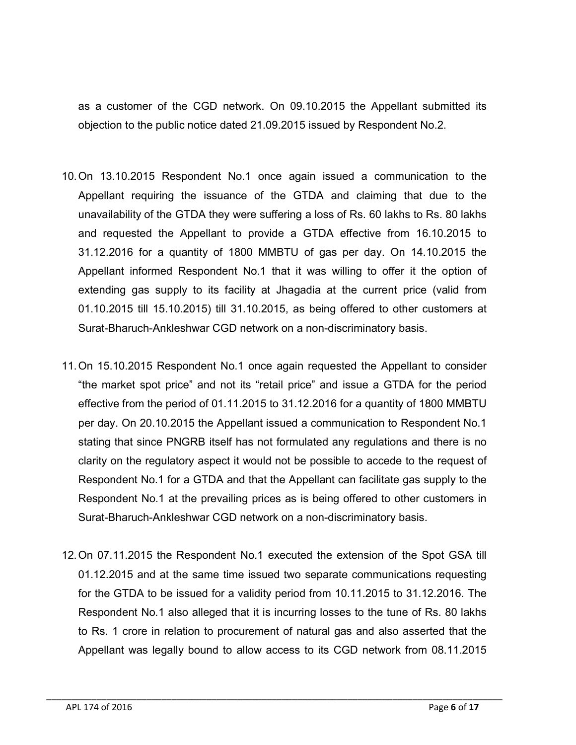as a customer of the CGD network. On 09.10.2015 the Appellant submitted its objection to the public notice dated 21.09.2015 issued by Respondent No.2.

- 10.On 13.10.2015 Respondent No.1 once again issued a communication to the Appellant requiring the issuance of the GTDA and claiming that due to the unavailability of the GTDA they were suffering a loss of Rs. 60 lakhs to Rs. 80 lakhs and requested the Appellant to provide a GTDA effective from 16.10.2015 to 31.12.2016 for a quantity of 1800 MMBTU of gas per day. On 14.10.2015 the Appellant informed Respondent No.1 that it was willing to offer it the option of extending gas supply to its facility at Jhagadia at the current price (valid from 01.10.2015 till 15.10.2015) till 31.10.2015, as being offered to other customers at Surat-Bharuch-Ankleshwar CGD network on a non-discriminatory basis.
- 11.On 15.10.2015 Respondent No.1 once again requested the Appellant to consider "the market spot price" and not its "retail price" and issue a GTDA for the period effective from the period of 01.11.2015 to 31.12.2016 for a quantity of 1800 MMBTU per day. On 20.10.2015 the Appellant issued a communication to Respondent No.1 stating that since PNGRB itself has not formulated any regulations and there is no clarity on the regulatory aspect it would not be possible to accede to the request of Respondent No.1 for a GTDA and that the Appellant can facilitate gas supply to the Respondent No.1 at the prevailing prices as is being offered to other customers in Surat-Bharuch-Ankleshwar CGD network on a non-discriminatory basis.
- 12.On 07.11.2015 the Respondent No.1 executed the extension of the Spot GSA till 01.12.2015 and at the same time issued two separate communications requesting for the GTDA to be issued for a validity period from 10.11.2015 to 31.12.2016. The Respondent No.1 also alleged that it is incurring losses to the tune of Rs. 80 lakhs to Rs. 1 crore in relation to procurement of natural gas and also asserted that the Appellant was legally bound to allow access to its CGD network from 08.11.2015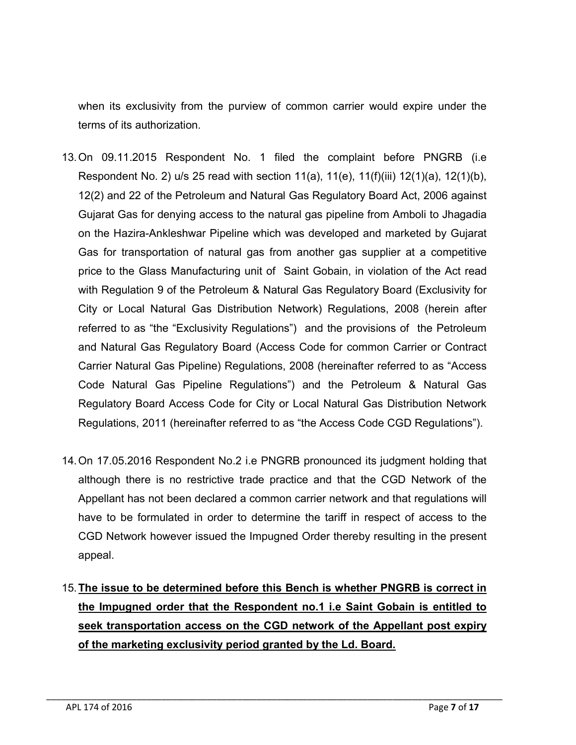when its exclusivity from the purview of common carrier would expire under the terms of its authorization.

- 13.On 09.11.2015 Respondent No. 1 filed the complaint before PNGRB (i.e Respondent No. 2) u/s 25 read with section 11(a), 11(e), 11(f)(iii) 12(1)(a), 12(1)(b), 12(2) and 22 of the Petroleum and Natural Gas Regulatory Board Act, 2006 against Gujarat Gas for denying access to the natural gas pipeline from Amboli to Jhagadia on the Hazira-Ankleshwar Pipeline which was developed and marketed by Gujarat Gas for transportation of natural gas from another gas supplier at a competitive price to the Glass Manufacturing unit of Saint Gobain, in violation of the Act read with Regulation 9 of the Petroleum & Natural Gas Regulatory Board (Exclusivity for City or Local Natural Gas Distribution Network) Regulations, 2008 (herein after referred to as "the "Exclusivity Regulations") and the provisions of the Petroleum and Natural Gas Regulatory Board (Access Code for common Carrier or Contract Carrier Natural Gas Pipeline) Regulations, 2008 (hereinafter referred to as "Access Code Natural Gas Pipeline Regulations") and the Petroleum & Natural Gas Regulatory Board Access Code for City or Local Natural Gas Distribution Network Regulations, 2011 (hereinafter referred to as "the Access Code CGD Regulations").
- 14.On 17.05.2016 Respondent No.2 i.e PNGRB pronounced its judgment holding that although there is no restrictive trade practice and that the CGD Network of the Appellant has not been declared a common carrier network and that regulations will have to be formulated in order to determine the tariff in respect of access to the CGD Network however issued the Impugned Order thereby resulting in the present appeal.
- 15.The issue to be determined before this Bench is whether PNGRB is correct in the Impugned order that the Respondent no.1 i.e Saint Gobain is entitled to seek transportation access on the CGD network of the Appellant post expiry of the marketing exclusivity period granted by the Ld. Board.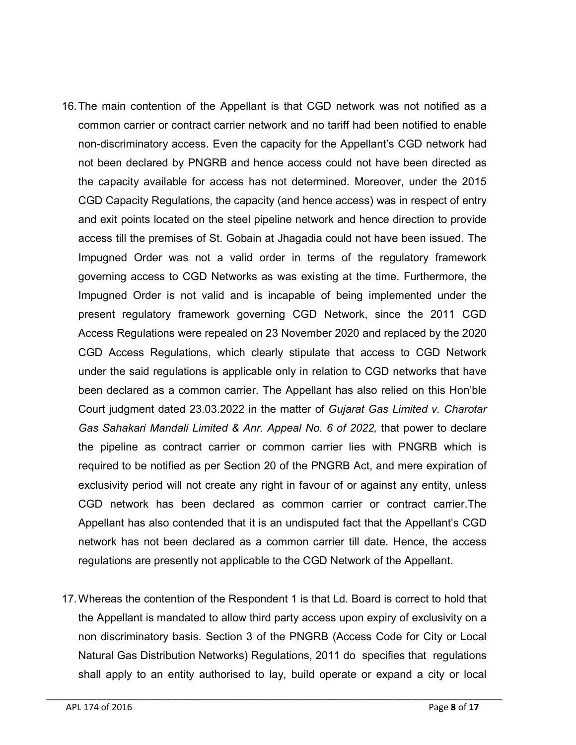- 16.The main contention of the Appellant is that CGD network was not notified as a common carrier or contract carrier network and no tariff had been notified to enable non-discriminatory access. Even the capacity for the Appellant's CGD network had not been declared by PNGRB and hence access could not have been directed as the capacity available for access has not determined. Moreover, under the 2015 CGD Capacity Regulations, the capacity (and hence access) was in respect of entry and exit points located on the steel pipeline network and hence direction to provide access till the premises of St. Gobain at Jhagadia could not have been issued. The Impugned Order was not a valid order in terms of the regulatory framework governing access to CGD Networks as was existing at the time. Furthermore, the Impugned Order is not valid and is incapable of being implemented under the present regulatory framework governing CGD Network, since the 2011 CGD Access Regulations were repealed on 23 November 2020 and replaced by the 2020 CGD Access Regulations, which clearly stipulate that access to CGD Network under the said regulations is applicable only in relation to CGD networks that have been declared as a common carrier. The Appellant has also relied on this Hon'ble Court judgment dated 23.03.2022 in the matter of *Gujarat Gas Limited v. Charotar Gas Sahakari Mandali Limited & Anr. Appeal No. 6 of 2022,* that power to declare the pipeline as contract carrier or common carrier lies with PNGRB which is required to be notified as per Section 20 of the PNGRB Act, and mere expiration of exclusivity period will not create any right in favour of or against any entity, unless CGD network has been declared as common carrier or contract carrier.The Appellant has also contended that it is an undisputed fact that the Appellant's CGD network has not been declared as a common carrier till date. Hence, the access regulations are presently not applicable to the CGD Network of the Appellant.
- 17.Whereas the contention of the Respondent 1 is that Ld. Board is correct to hold that the Appellant is mandated to allow third party access upon expiry of exclusivity on a non discriminatory basis. Section 3 of the PNGRB (Access Code for City or Local Natural Gas Distribution Networks) Regulations, 2011 do specifies that regulations shall apply to an entity authorised to lay, build operate or expand a city or local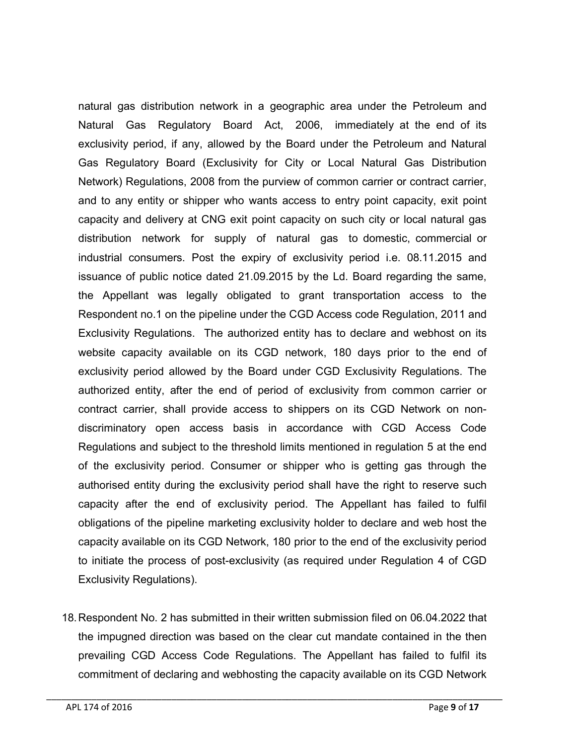natural gas distribution network in a geographic area under the Petroleum and Natural Gas Regulatory Board Act, 2006, immediately at the end of its exclusivity period, if any, allowed by the Board under the Petroleum and Natural Gas Regulatory Board (Exclusivity for City or Local Natural Gas Distribution Network) Regulations, 2008 from the purview of common carrier or contract carrier, and to any entity or shipper who wants access to entry point capacity, exit point capacity and delivery at CNG exit point capacity on such city or local natural gas distribution network for supply of natural gas to domestic, commercial or industrial consumers. Post the expiry of exclusivity period i.e. 08.11.2015 and issuance of public notice dated 21.09.2015 by the Ld. Board regarding the same, the Appellant was legally obligated to grant transportation access to the Respondent no.1 on the pipeline under the CGD Access code Regulation, 2011 and Exclusivity Regulations. The authorized entity has to declare and webhost on its website capacity available on its CGD network, 180 days prior to the end of exclusivity period allowed by the Board under CGD Exclusivity Regulations. The authorized entity, after the end of period of exclusivity from common carrier or contract carrier, shall provide access to shippers on its CGD Network on nondiscriminatory open access basis in accordance with CGD Access Code Regulations and subject to the threshold limits mentioned in regulation 5 at the end of the exclusivity period. Consumer or shipper who is getting gas through the authorised entity during the exclusivity period shall have the right to reserve such capacity after the end of exclusivity period. The Appellant has failed to fulfil obligations of the pipeline marketing exclusivity holder to declare and web host the capacity available on its CGD Network, 180 prior to the end of the exclusivity period to initiate the process of post-exclusivity (as required under Regulation 4 of CGD Exclusivity Regulations).

18.Respondent No. 2 has submitted in their written submission filed on 06.04.2022 that the impugned direction was based on the clear cut mandate contained in the then prevailing CGD Access Code Regulations. The Appellant has failed to fulfil its commitment of declaring and webhosting the capacity available on its CGD Network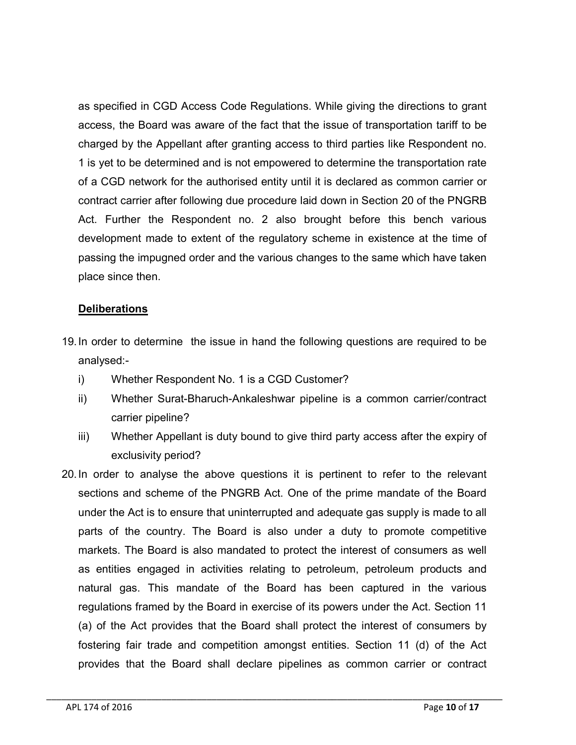as specified in CGD Access Code Regulations. While giving the directions to grant access, the Board was aware of the fact that the issue of transportation tariff to be charged by the Appellant after granting access to third parties like Respondent no. 1 is yet to be determined and is not empowered to determine the transportation rate of a CGD network for the authorised entity until it is declared as common carrier or contract carrier after following due procedure laid down in Section 20 of the PNGRB Act. Further the Respondent no. 2 also brought before this bench various development made to extent of the regulatory scheme in existence at the time of passing the impugned order and the various changes to the same which have taken place since then.

#### **Deliberations**

- 19.In order to determine the issue in hand the following questions are required to be analysed:
	- i) Whether Respondent No. 1 is a CGD Customer?
	- ii) Whether Surat-Bharuch-Ankaleshwar pipeline is a common carrier/contract carrier pipeline?
	- iii) Whether Appellant is duty bound to give third party access after the expiry of exclusivity period?
- 20.In order to analyse the above questions it is pertinent to refer to the relevant sections and scheme of the PNGRB Act. One of the prime mandate of the Board under the Act is to ensure that uninterrupted and adequate gas supply is made to all parts of the country. The Board is also under a duty to promote competitive markets. The Board is also mandated to protect the interest of consumers as well as entities engaged in activities relating to petroleum, petroleum products and natural gas. This mandate of the Board has been captured in the various regulations framed by the Board in exercise of its powers under the Act. Section 11 (a) of the Act provides that the Board shall protect the interest of consumers by fostering fair trade and competition amongst entities. Section 11 (d) of the Act provides that the Board shall declare pipelines as common carrier or contract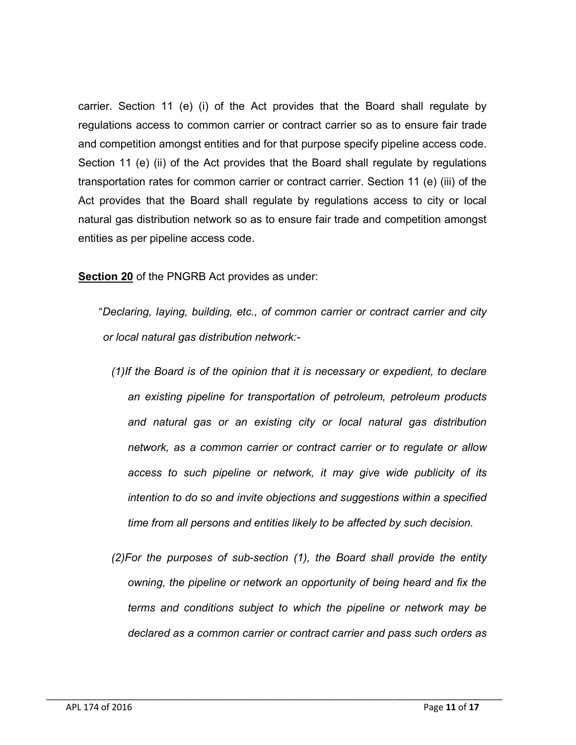carrier. Section 11 (e) (i) of the Act provides that the Board shall regulate by regulations access to common carrier or contract carrier so as to ensure fair trade and competition amongst entities and for that purpose specify pipeline access code. Section 11 (e) (ii) of the Act provides that the Board shall regulate by regulations transportation rates for common carrier or contract carrier. Section 11 (e) (iii) of the Act provides that the Board shall regulate by regulations access to city or local natural gas distribution network so as to ensure fair trade and competition amongst entities as per pipeline access code.

Section 20 of the PNGRB Act provides as under:

"*Declaring, laying, building, etc., of common carrier or contract carrier and city or local natural gas distribution network:-*

- *(1)If the Board is of the opinion that it is necessary or expedient, to declare an existing pipeline for transportation of petroleum, petroleum products and natural gas or an existing city or local natural gas distribution network, as a common carrier or contract carrier or to regulate or allow access to such pipeline or network, it may give wide publicity of its intention to do so and invite objections and suggestions within a specified time from all persons and entities likely to be affected by such decision.*
- *(2)For the purposes of sub-section (1), the Board shall provide the entity owning, the pipeline or network an opportunity of being heard and fix the terms and conditions subject to which the pipeline or network may be declared as a common carrier or contract carrier and pass such orders as*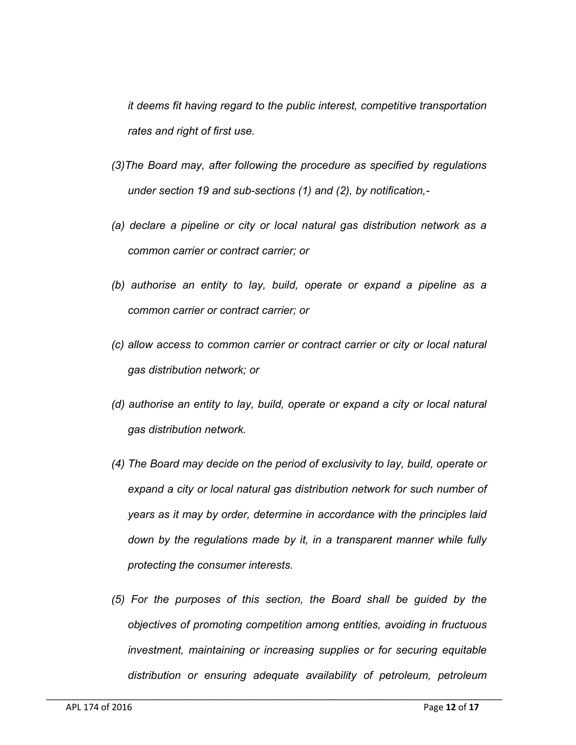*it deems fit having regard to the public interest, competitive transportation rates and right of first use.*

- *(3)The Board may, after following the procedure as specified by regulations under section 19 and sub-sections (1) and (2), by notification,-*
- *(a) declare a pipeline or city or local natural gas distribution network as a common carrier or contract carrier; or*
- *(b) authorise an entity to lay, build, operate or expand a pipeline as a common carrier or contract carrier; or*
- *(c) allow access to common carrier or contract carrier or city or local natural gas distribution network; or*
- *(d) authorise an entity to lay, build, operate or expand a city or local natural gas distribution network.*
- *(4) The Board may decide on the period of exclusivity to lay, build, operate or expand a city or local natural gas distribution network for such number of years as it may by order, determine in accordance with the principles laid down by the regulations made by it, in a transparent manner while fully protecting the consumer interests.*
- *(5) For the purposes of this section, the Board shall be guided by the objectives of promoting competition among entities, avoiding in fructuous investment, maintaining or increasing supplies or for securing equitable distribution or ensuring adequate availability of petroleum, petroleum*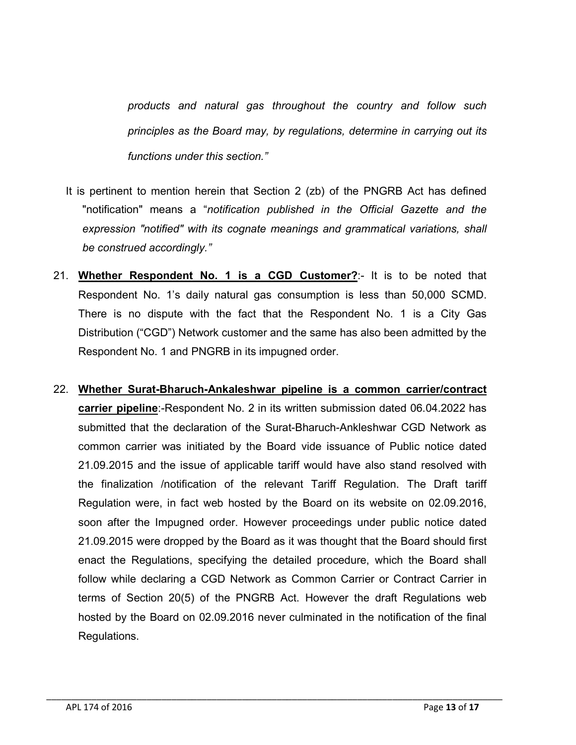*products and natural gas throughout the country and follow such principles as the Board may, by regulations, determine in carrying out its functions under this section."*

- It is pertinent to mention herein that Section 2 (zb) of the PNGRB Act has defined "notification" means a "*notification published in the Official Gazette and the expression "notified" with its cognate meanings and grammatical variations, shall be construed accordingly."*
- 21. Whether Respondent No. 1 is a CGD Customer?:- It is to be noted that Respondent No. 1's daily natural gas consumption is less than 50,000 SCMD. There is no dispute with the fact that the Respondent No. 1 is a City Gas Distribution ("CGD") Network customer and the same has also been admitted by the Respondent No. 1 and PNGRB in its impugned order.
- 22. Whether Surat-Bharuch-Ankaleshwar pipeline is a common carrier/contract carrier pipeline:-Respondent No. 2 in its written submission dated 06.04.2022 has submitted that the declaration of the Surat-Bharuch-Ankleshwar CGD Network as common carrier was initiated by the Board vide issuance of Public notice dated 21.09.2015 and the issue of applicable tariff would have also stand resolved with the finalization /notification of the relevant Tariff Regulation. The Draft tariff Regulation were, in fact web hosted by the Board on its website on 02.09.2016, soon after the Impugned order. However proceedings under public notice dated 21.09.2015 were dropped by the Board as it was thought that the Board should first enact the Regulations, specifying the detailed procedure, which the Board shall follow while declaring a CGD Network as Common Carrier or Contract Carrier in terms of Section 20(5) of the PNGRB Act. However the draft Regulations web hosted by the Board on 02.09.2016 never culminated in the notification of the final Regulations.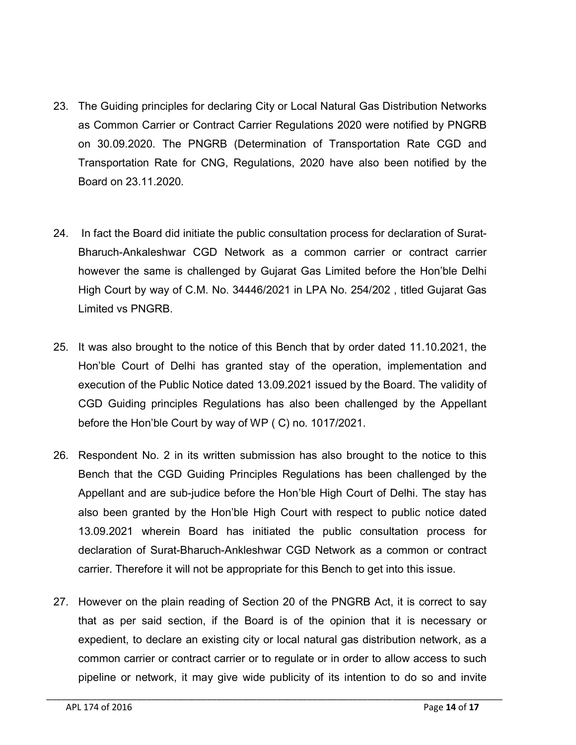- 23. The Guiding principles for declaring City or Local Natural Gas Distribution Networks as Common Carrier or Contract Carrier Regulations 2020 were notified by PNGRB on 30.09.2020. The PNGRB (Determination of Transportation Rate CGD and Transportation Rate for CNG, Regulations, 2020 have also been notified by the Board on 23.11.2020.
- 24. In fact the Board did initiate the public consultation process for declaration of Surat-Bharuch-Ankaleshwar CGD Network as a common carrier or contract carrier however the same is challenged by Gujarat Gas Limited before the Hon'ble Delhi High Court by way of C.M. No. 34446/2021 in LPA No. 254/202 , titled Gujarat Gas Limited vs PNGRB.
- 25. It was also brought to the notice of this Bench that by order dated 11.10.2021, the Hon'ble Court of Delhi has granted stay of the operation, implementation and execution of the Public Notice dated 13.09.2021 issued by the Board. The validity of CGD Guiding principles Regulations has also been challenged by the Appellant before the Hon'ble Court by way of WP ( C) no. 1017/2021.
- 26. Respondent No. 2 in its written submission has also brought to the notice to this Bench that the CGD Guiding Principles Regulations has been challenged by the Appellant and are sub-judice before the Hon'ble High Court of Delhi. The stay has also been granted by the Hon'ble High Court with respect to public notice dated 13.09.2021 wherein Board has initiated the public consultation process for declaration of Surat-Bharuch-Ankleshwar CGD Network as a common or contract carrier. Therefore it will not be appropriate for this Bench to get into this issue.
- 27. However on the plain reading of Section 20 of the PNGRB Act, it is correct to say that as per said section, if the Board is of the opinion that it is necessary or expedient, to declare an existing city or local natural gas distribution network, as a common carrier or contract carrier or to regulate or in order to allow access to such pipeline or network, it may give wide publicity of its intention to do so and invite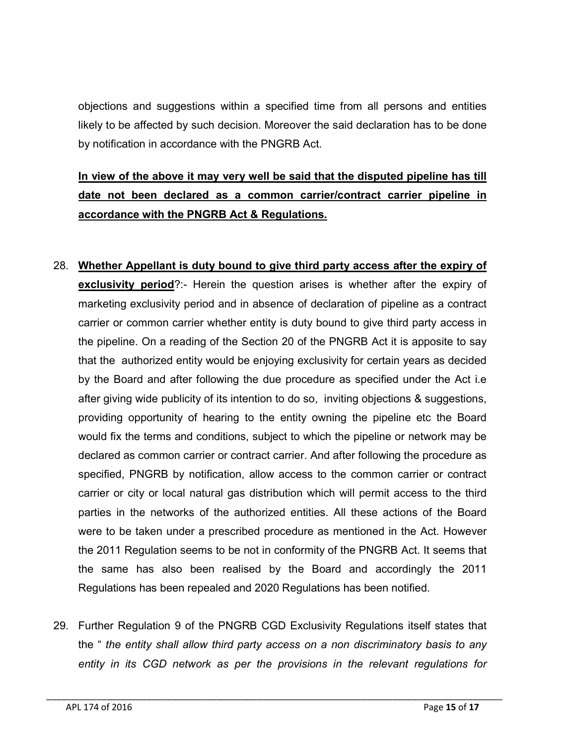objections and suggestions within a specified time from all persons and entities likely to be affected by such decision. Moreover the said declaration has to be done by notification in accordance with the PNGRB Act.

# In view of the above it may very well be said that the disputed pipeline has till date not been declared as a common carrier/contract carrier pipeline in accordance with the PNGRB Act & Regulations.

- 28. Whether Appellant is duty bound to give third party access after the expiry of exclusivity period?:- Herein the question arises is whether after the expiry of marketing exclusivity period and in absence of declaration of pipeline as a contract carrier or common carrier whether entity is duty bound to give third party access in the pipeline. On a reading of the Section 20 of the PNGRB Act it is apposite to say that the authorized entity would be enjoying exclusivity for certain years as decided by the Board and after following the due procedure as specified under the Act i.e after giving wide publicity of its intention to do so, inviting objections & suggestions, providing opportunity of hearing to the entity owning the pipeline etc the Board would fix the terms and conditions, subject to which the pipeline or network may be declared as common carrier or contract carrier. And after following the procedure as specified, PNGRB by notification, allow access to the common carrier or contract carrier or city or local natural gas distribution which will permit access to the third parties in the networks of the authorized entities. All these actions of the Board were to be taken under a prescribed procedure as mentioned in the Act. However the 2011 Regulation seems to be not in conformity of the PNGRB Act. It seems that the same has also been realised by the Board and accordingly the 2011 Regulations has been repealed and 2020 Regulations has been notified.
- 29. Further Regulation 9 of the PNGRB CGD Exclusivity Regulations itself states that the " *the entity shall allow third party access on a non discriminatory basis to any entity in its CGD network as per the provisions in the relevant regulations for*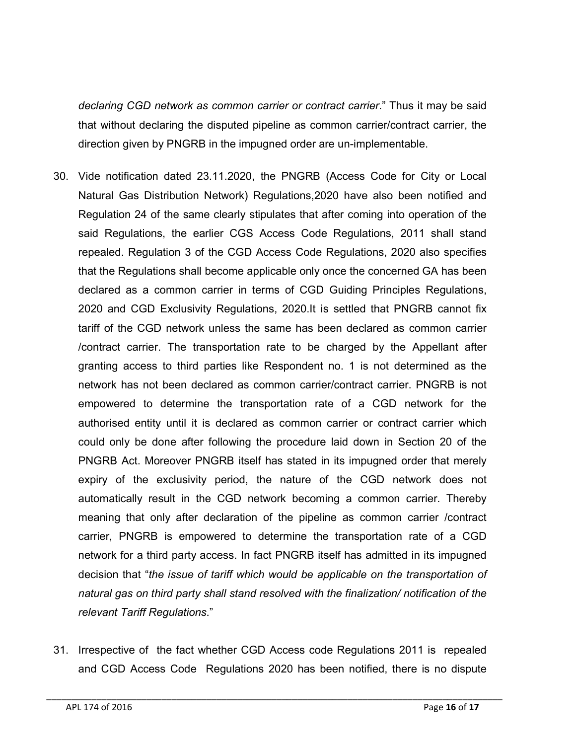*declaring CGD network as common carrier or contract carrier*." Thus it may be said that without declaring the disputed pipeline as common carrier/contract carrier, the direction given by PNGRB in the impugned order are un-implementable.

- 30. Vide notification dated 23.11.2020, the PNGRB (Access Code for City or Local Natural Gas Distribution Network) Regulations,2020 have also been notified and Regulation 24 of the same clearly stipulates that after coming into operation of the said Regulations, the earlier CGS Access Code Regulations, 2011 shall stand repealed. Regulation 3 of the CGD Access Code Regulations, 2020 also specifies that the Regulations shall become applicable only once the concerned GA has been declared as a common carrier in terms of CGD Guiding Principles Regulations, 2020 and CGD Exclusivity Regulations, 2020.It is settled that PNGRB cannot fix tariff of the CGD network unless the same has been declared as common carrier /contract carrier. The transportation rate to be charged by the Appellant after granting access to third parties like Respondent no. 1 is not determined as the network has not been declared as common carrier/contract carrier. PNGRB is not empowered to determine the transportation rate of a CGD network for the authorised entity until it is declared as common carrier or contract carrier which could only be done after following the procedure laid down in Section 20 of the PNGRB Act. Moreover PNGRB itself has stated in its impugned order that merely expiry of the exclusivity period, the nature of the CGD network does not automatically result in the CGD network becoming a common carrier. Thereby meaning that only after declaration of the pipeline as common carrier /contract carrier, PNGRB is empowered to determine the transportation rate of a CGD network for a third party access. In fact PNGRB itself has admitted in its impugned decision that "*the issue of tariff which would be applicable on the transportation of natural gas on third party shall stand resolved with the finalization/ notification of the relevant Tariff Regulations*."
- 31. Irrespective of the fact whether CGD Access code Regulations 2011 is repealed and CGD Access Code Regulations 2020 has been notified, there is no dispute